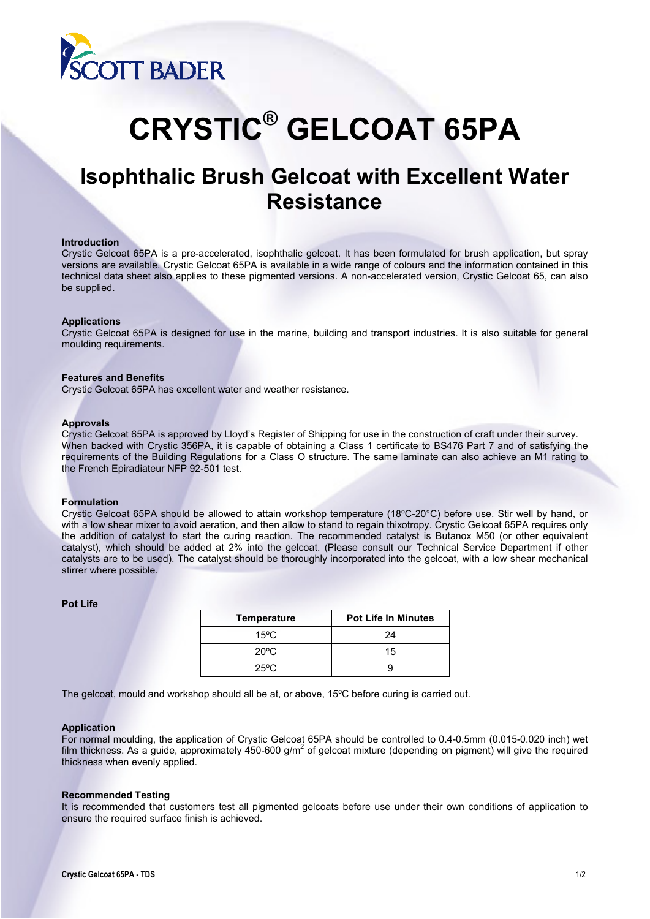

# **CRYSTIC® GELCOAT 65PA**

# **Isophthalic Brush Gelcoat with Excellent Water Resistance**

#### **Introduction**

Crystic Gelcoat 65PA is a pre-accelerated, isophthalic gelcoat. It has been formulated for brush application, but spray versions are available. Crystic Gelcoat 65PA is available in a wide range of colours and the information contained in this technical data sheet also applies to these pigmented versions. A non-accelerated version, Crystic Gelcoat 65, can also be supplied.

#### **Applications**

Crystic Gelcoat 65PA is designed for use in the marine, building and transport industries. It is also suitable for general moulding requirements.

#### **Features and Benefits**

Crystic Gelcoat 65PA has excellent water and weather resistance.

#### **Approvals**

Crystic Gelcoat 65PA is approved by Lloyd's Register of Shipping for use in the construction of craft under their survey. When backed with Crystic 356PA, it is capable of obtaining a Class 1 certificate to BS476 Part 7 and of satisfying the requirements of the Building Regulations for a Class O structure. The same laminate can also achieve an M1 rating to the French Epiradiateur NFP 92-501 test.

#### **Formulation**

Crystic Gelcoat 65PA should be allowed to attain workshop temperature (18ºC-20°C) before use. Stir well by hand, or with a low shear mixer to avoid aeration, and then allow to stand to regain thixotropy. Crystic Gelcoat 65PA requires only the addition of catalyst to start the curing reaction. The recommended catalyst is Butanox M50 (or other equivalent catalyst), which should be added at 2% into the gelcoat. (Please consult our Technical Service Department if other catalysts are to be used). The catalyst should be thoroughly incorporated into the gelcoat, with a low shear mechanical stirrer where possible.

### **Pot Life**

| <b>Temperature</b> | <b>Pot Life In Minutes</b> |  |  |
|--------------------|----------------------------|--|--|
| 15°C               | 24                         |  |  |
| $20^{\circ}$ C     | 15                         |  |  |
| 25°C               |                            |  |  |

The gelcoat, mould and workshop should all be at, or above, 15ºC before curing is carried out.

#### **Application**

For normal moulding, the application of Crystic Gelcoat 65PA should be controlled to 0.4-0.5mm (0.015-0.020 inch) wet film thickness. As a guide, approximately 450-600 g/m<sup>2</sup> of gelcoat mixture (depending on pigment) will give the required thickness when evenly applied.

#### **Recommended Testing**

It is recommended that customers test all pigmented gelcoats before use under their own conditions of application to ensure the required surface finish is achieved.